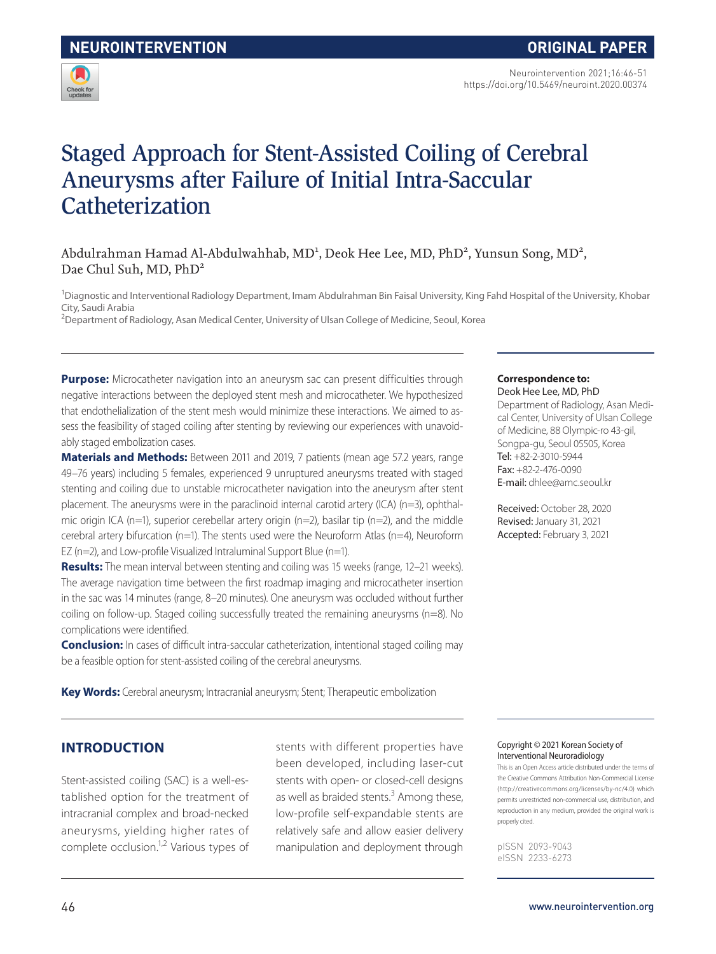

Neurointervention 2021;16:46-51 https://doi.org/10.5469/neuroint.2020.00374

# Staged Approach for Stent-Assisted Coiling of Cerebral Aneurysms after Failure of Initial Intra-Saccular **Catheterization**

# Abdulrahman Hamad Al-Abdulwahhab, MD<sup>1</sup>, Deok Hee Lee, MD, PhD<sup>2</sup>, Yunsun Song, MD<sup>2</sup>, Dae Chul Suh, MD, PhD<sup>2</sup>

<sup>1</sup>Diagnostic and Interventional Radiology Department, Imam Abdulrahman Bin Faisal University, King Fahd Hospital of the University, Khobar City, Saudi Arabia

<sup>2</sup>Department of Radiology, Asan Medical Center, University of Ulsan College of Medicine, Seoul, Korea

**Purpose:** Microcatheter navigation into an aneurysm sac can present difficulties through negative interactions between the deployed stent mesh and microcatheter. We hypothesized that endothelialization of the stent mesh would minimize these interactions. We aimed to assess the feasibility of staged coiling after stenting by reviewing our experiences with unavoidably staged embolization cases.

**Materials and Methods:** Between 2011 and 2019, 7 patients (mean age 57.2 years, range 49–76 years) including 5 females, experienced 9 unruptured aneurysms treated with staged stenting and coiling due to unstable microcatheter navigation into the aneurysm after stent placement. The aneurysms were in the paraclinoid internal carotid artery (ICA) (n=3), ophthalmic origin ICA (n=1), superior cerebellar artery origin (n=2), basilar tip (n=2), and the middle cerebral artery bifurcation (n=1). The stents used were the Neuroform Atlas (n=4), Neuroform EZ ( $n=2$ ), and Low-profile Visualized Intraluminal Support Blue ( $n=1$ ).

**Results:** The mean interval between stenting and coiling was 15 weeks (range, 12-21 weeks). The average navigation time between the first roadmap imaging and microcatheter insertion in the sac was 14 minutes (range, 8–20 minutes). One aneurysm was occluded without further coiling on follow-up. Staged coiling successfully treated the remaining aneurysms (n=8). No complications were identified.

**Conclusion:** In cases of difficult intra-saccular catheterization, intentional staged coiling may be a feasible option for stent-assisted coiling of the cerebral aneurysms.

**Key Words:** Cerebral aneurysm; Intracranial aneurysm; Stent; Therapeutic embolization

## **INTRODUCTION**

Stent-assisted coiling (SAC) is a well-established option for the treatment of intracranial complex and broad-necked aneurysms, yielding higher rates of complete occlusion.1,2 Various types of stents with different properties have been developed, including laser-cut stents with open- or closed-cell designs as well as braided stents.<sup>3</sup> Among these, low-profile self-expandable stents are relatively safe and allow easier delivery manipulation and deployment through

#### **Correspondence to:**

Deok Hee Lee, MD, PhD Department of Radiology, Asan Medical Center, University of Ulsan College of Medicine, 88 Olympic-ro 43-gil, Songpa-gu, Seoul 05505, Korea Tel: +82-2-3010-5944 Fax: +82-2-476-0090 E-mail: dhlee@amc.seoul.kr

Received: October 28, 2020 Revised: January 31, 2021 Accepted: February 3, 2021

#### Copyright © 2021 Korean Society of Interventional Neuroradiology

This is an Open Access article distributed under the terms of the Creative Commons Attribution Non-Commercial License (http://creativecommons.org/licenses/by-nc/4.0) which permits unrestricted non-commercial use, distribution, and reproduction in any medium, provided the original work is properly cited.

pISSN 2093-9043 eISSN 2233-6273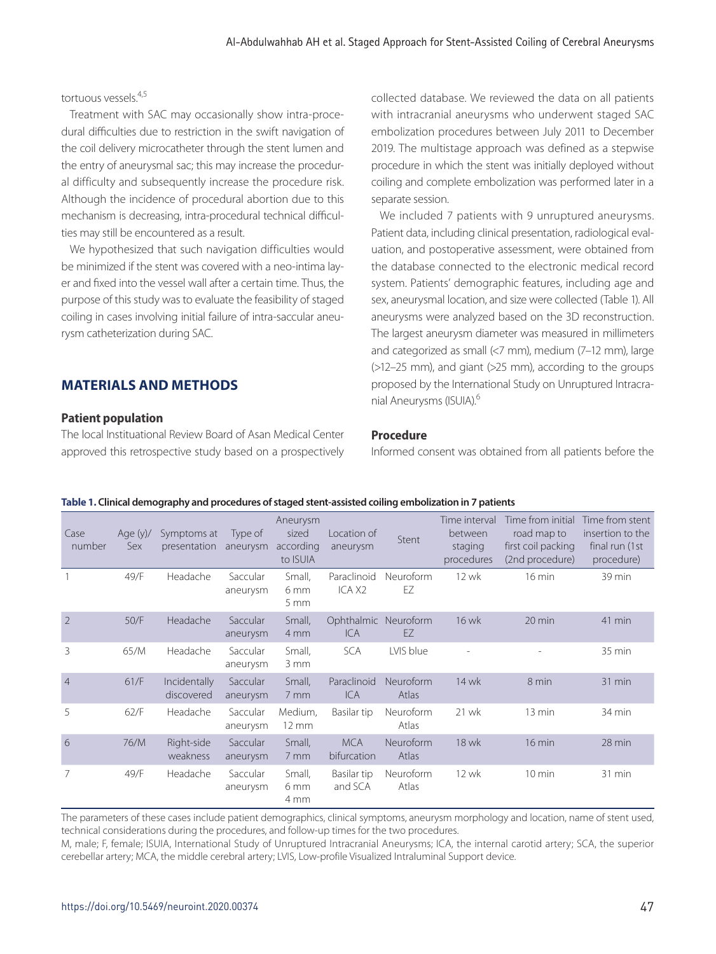## tortuous vessels.4,5

Treatment with SAC may occasionally show intra-procedural difficulties due to restriction in the swift navigation of the coil delivery microcatheter through the stent lumen and the entry of aneurysmal sac; this may increase the procedural difficulty and subsequently increase the procedure risk. Although the incidence of procedural abortion due to this mechanism is decreasing, intra-procedural technical difficulties may still be encountered as a result.

We hypothesized that such navigation difficulties would be minimized if the stent was covered with a neo-intima layer and fixed into the vessel wall after a certain time. Thus, the purpose of this study was to evaluate the feasibility of staged coiling in cases involving initial failure of intra-saccular aneurysm catheterization during SAC.

# **MATERIALS AND METHODS**

### **Patient population**

The local Instituational Review Board of Asan Medical Center approved this retrospective study based on a prospectively collected database. We reviewed the data on all patients with intracranial aneurysms who underwent staged SAC embolization procedures between July 2011 to December 2019. The multistage approach was defined as a stepwise procedure in which the stent was initially deployed without coiling and complete embolization was performed later in a separate session.

We included 7 patients with 9 unruptured aneurysms. Patient data, including clinical presentation, radiological evaluation, and postoperative assessment, were obtained from the database connected to the electronic medical record system. Patients' demographic features, including age and sex, aneurysmal location, and size were collected (Table 1). All aneurysms were analyzed based on the 3D reconstruction. The largest aneurysm diameter was measured in millimeters and categorized as small (<7 mm), medium (7–12 mm), large (>12–25 mm), and giant (>25 mm), according to the groups proposed by the International Study on Unruptured Intracranial Aneurysms (ISUIA).6

## **Procedure**

Informed consent was obtained from all patients before the

| Case<br>number  | Age $(y)$ /<br>Sex | Symptoms at<br>presentation | Type of<br>aneurysm  | Aneurysm<br>sized<br>according<br>to ISUIA | Location of<br>aneurysm           | Stent              | Time interval<br>between<br>staging<br>procedures | Time from initial<br>road map to<br>first coil packing<br>(2nd procedure) | Time from stent<br>insertion to the<br>final run (1st<br>procedure) |
|-----------------|--------------------|-----------------------------|----------------------|--------------------------------------------|-----------------------------------|--------------------|---------------------------------------------------|---------------------------------------------------------------------------|---------------------------------------------------------------------|
|                 | 49/F               | Headache                    | Saccular<br>aneurysm | Small,<br>6 mm<br>$5 \, \mathrm{mm}$       | Paraclinoid<br>ICA X <sub>2</sub> | Neuroform<br>EZ    | 12 wk                                             | 16 min                                                                    | 39 min                                                              |
| $\overline{2}$  | 50/F               | Headache                    | Saccular<br>aneurysm | Small,<br>4 mm                             | Ophthalmic<br><b>ICA</b>          | Neuroform<br>EZ    | 16 wk                                             | $20 \text{ min}$                                                          | 41 min                                                              |
| 3               | 65/M               | Headache                    | Saccular<br>aneurysm | Small,<br>3 mm                             | <b>SCA</b>                        | LVIS blue          |                                                   |                                                                           | $35 \text{ min}$                                                    |
| $\overline{4}$  | 61/F               | Incidentally<br>discovered  | Saccular<br>aneurysm | Small,<br>7 mm                             | Paraclinoid<br>ICA                | Neuroform<br>Atlas | 14 wk                                             | 8 min                                                                     | 31 min                                                              |
| 5               | 62/F               | Headache                    | Saccular<br>aneurysm | Medium,<br>$12 \text{ mm}$                 | Basilar tip                       | Neuroform<br>Atlas | 21 wk                                             | 13 min                                                                    | 34 min                                                              |
| $6\overline{6}$ | 76/M               | Right-side<br>weakness      | Saccular<br>aneurysm | Small,<br>7 mm                             | <b>MCA</b><br>bifurcation         | Neuroform<br>Atlas | 18 wk                                             | $16$ min                                                                  | 28 min                                                              |
| 7               | 49/F               | Headache                    | Saccular<br>aneurysm | Small,<br>6 mm<br>4 mm                     | Basilar tip<br>and SCA            | Neuroform<br>Atlas | 12 wk                                             | $10 \text{ min}$                                                          | $31$ min                                                            |

#### **Table 1. Clinical demography and procedures of staged stent-assisted coiling embolization in 7 patients**

The parameters of these cases include patient demographics, clinical symptoms, aneurysm morphology and location, name of stent used, technical considerations during the procedures, and follow-up times for the two procedures.

M, male; F, female; ISUIA, International Study of Unruptured Intracranial Aneurysms; ICA, the internal carotid artery; SCA, the superior cerebellar artery; MCA, the middle cerebral artery; LVIS, Low-profile Visualized Intraluminal Support device.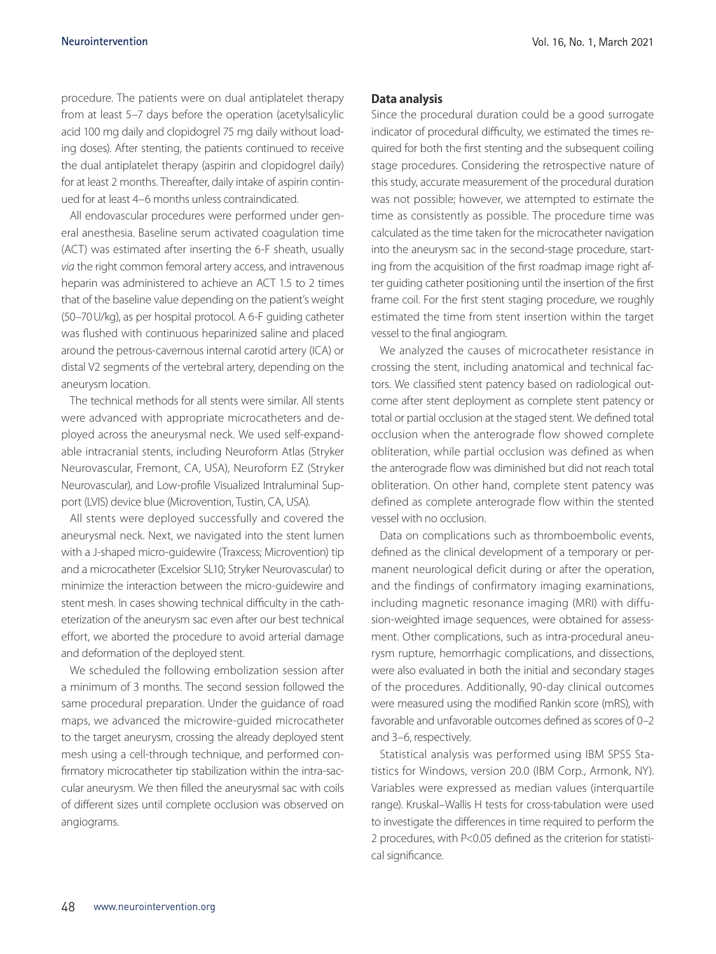procedure. The patients were on dual antiplatelet therapy from at least 5–7 days before the operation (acetylsalicylic acid 100 mg daily and clopidogrel 75 mg daily without loading doses). After stenting, the patients continued to receive the dual antiplatelet therapy (aspirin and clopidogrel daily) for at least 2 months. Thereafter, daily intake of aspirin continued for at least 4–6 months unless contraindicated.

All endovascular procedures were performed under general anesthesia. Baseline serum activated coagulation time (ACT) was estimated after inserting the 6-F sheath, usually *via* the right common femoral artery access, and intravenous heparin was administered to achieve an ACT 1.5 to 2 times that of the baseline value depending on the patient's weight (50–70U/kg), as per hospital protocol. A 6-F guiding catheter was flushed with continuous heparinized saline and placed around the petrous-cavernous internal carotid artery (ICA) or distal V2 segments of the vertebral artery, depending on the aneurysm location.

The technical methods for all stents were similar. All stents were advanced with appropriate microcatheters and deployed across the aneurysmal neck. We used self-expandable intracranial stents, including Neuroform Atlas (Stryker Neurovascular, Fremont, CA, USA), Neuroform EZ (Stryker Neurovascular), and Low-profile Visualized Intraluminal Support (LVIS) device blue (Microvention, Tustin, CA, USA).

All stents were deployed successfully and covered the aneurysmal neck. Next, we navigated into the stent lumen with a J-shaped micro-guidewire (Traxcess; Microvention) tip and a microcatheter (Excelsior SL10; Stryker Neurovascular) to minimize the interaction between the micro-guidewire and stent mesh. In cases showing technical difficulty in the catheterization of the aneurysm sac even after our best technical effort, we aborted the procedure to avoid arterial damage and deformation of the deployed stent.

We scheduled the following embolization session after a minimum of 3 months. The second session followed the same procedural preparation. Under the guidance of road maps, we advanced the microwire-guided microcatheter to the target aneurysm, crossing the already deployed stent mesh using a cell-through technique, and performed confirmatory microcatheter tip stabilization within the intra-saccular aneurysm. We then filled the aneurysmal sac with coils of different sizes until complete occlusion was observed on angiograms.

#### **Data analysis**

Since the procedural duration could be a good surrogate indicator of procedural difficulty, we estimated the times required for both the first stenting and the subsequent coiling stage procedures. Considering the retrospective nature of this study, accurate measurement of the procedural duration was not possible; however, we attempted to estimate the time as consistently as possible. The procedure time was calculated as the time taken for the microcatheter navigation into the aneurysm sac in the second-stage procedure, starting from the acquisition of the first roadmap image right after guiding catheter positioning until the insertion of the first frame coil. For the first stent staging procedure, we roughly estimated the time from stent insertion within the target vessel to the final angiogram.

We analyzed the causes of microcatheter resistance in crossing the stent, including anatomical and technical factors. We classified stent patency based on radiological outcome after stent deployment as complete stent patency or total or partial occlusion at the staged stent. We defined total occlusion when the anterograde flow showed complete obliteration, while partial occlusion was defined as when the anterograde flow was diminished but did not reach total obliteration. On other hand, complete stent patency was defined as complete anterograde flow within the stented vessel with no occlusion.

Data on complications such as thromboembolic events, defined as the clinical development of a temporary or permanent neurological deficit during or after the operation, and the findings of confirmatory imaging examinations, including magnetic resonance imaging (MRI) with diffusion-weighted image sequences, were obtained for assessment. Other complications, such as intra-procedural aneurysm rupture, hemorrhagic complications, and dissections, were also evaluated in both the initial and secondary stages of the procedures. Additionally, 90-day clinical outcomes were measured using the modified Rankin score (mRS), with favorable and unfavorable outcomes defined as scores of 0–2 and 3–6, respectively.

Statistical analysis was performed using IBM SPSS Statistics for Windows, version 20.0 (IBM Corp., Armonk, NY). Variables were expressed as median values (interquartile range). Kruskal–Wallis H tests for cross-tabulation were used to investigate the differences in time required to perform the 2 procedures, with P<0.05 defined as the criterion for statistical significance.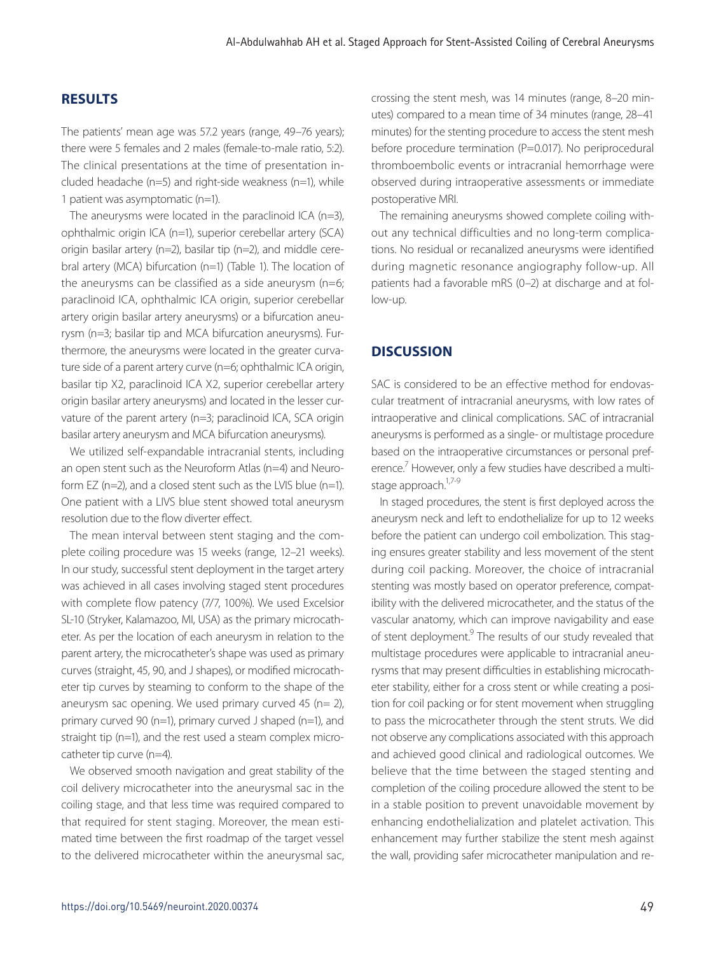## **RESULTS**

The patients' mean age was 57.2 years (range, 49–76 years); there were 5 females and 2 males (female-to-male ratio, 5:2). The clinical presentations at the time of presentation included headache (n=5) and right-side weakness (n=1), while 1 patient was asymptomatic (n=1).

The aneurysms were located in the paraclinoid ICA ( $n=3$ ), ophthalmic origin ICA (n=1), superior cerebellar artery (SCA) origin basilar artery (n=2), basilar tip (n=2), and middle cerebral artery (MCA) bifurcation (n=1) (Table 1). The location of the aneurysms can be classified as a side aneurysm ( $n=6$ ; paraclinoid ICA, ophthalmic ICA origin, superior cerebellar artery origin basilar artery aneurysms) or a bifurcation aneurysm (n=3; basilar tip and MCA bifurcation aneurysms). Furthermore, the aneurysms were located in the greater curvature side of a parent artery curve (n=6; ophthalmic ICA origin, basilar tip X2, paraclinoid ICA X2, superior cerebellar artery origin basilar artery aneurysms) and located in the lesser curvature of the parent artery (n=3; paraclinoid ICA, SCA origin basilar artery aneurysm and MCA bifurcation aneurysms).

We utilized self-expandable intracranial stents, including an open stent such as the Neuroform Atlas (n=4) and Neuroform EZ (n=2), and a closed stent such as the LVIS blue (n=1). One patient with a LIVS blue stent showed total aneurysm resolution due to the flow diverter effect.

The mean interval between stent staging and the complete coiling procedure was 15 weeks (range, 12–21 weeks). In our study, successful stent deployment in the target artery was achieved in all cases involving staged stent procedures with complete flow patency (7/7, 100%). We used Excelsior SL-10 (Stryker, Kalamazoo, MI, USA) as the primary microcatheter. As per the location of each aneurysm in relation to the parent artery, the microcatheter's shape was used as primary curves (straight, 45, 90, and J shapes), or modified microcatheter tip curves by steaming to conform to the shape of the aneurysm sac opening. We used primary curved 45 ( $n= 2$ ), primary curved 90 (n=1), primary curved J shaped (n=1), and straight tip (n=1), and the rest used a steam complex microcatheter tip curve (n=4).

We observed smooth navigation and great stability of the coil delivery microcatheter into the aneurysmal sac in the coiling stage, and that less time was required compared to that required for stent staging. Moreover, the mean estimated time between the first roadmap of the target vessel to the delivered microcatheter within the aneurysmal sac, crossing the stent mesh, was 14 minutes (range, 8–20 minutes) compared to a mean time of 34 minutes (range, 28–41 minutes) for the stenting procedure to access the stent mesh before procedure termination (P=0.017). No periprocedural thromboembolic events or intracranial hemorrhage were observed during intraoperative assessments or immediate postoperative MRI.

The remaining aneurysms showed complete coiling without any technical difficulties and no long-term complications. No residual or recanalized aneurysms were identified during magnetic resonance angiography follow-up. All patients had a favorable mRS (0–2) at discharge and at follow-up.

## **DISCUSSION**

SAC is considered to be an effective method for endovascular treatment of intracranial aneurysms, with low rates of intraoperative and clinical complications. SAC of intracranial aneurysms is performed as a single- or multistage procedure based on the intraoperative circumstances or personal preference.<sup>7</sup> However, only a few studies have described a multistage approach.<sup>1,7-9</sup>

In staged procedures, the stent is first deployed across the aneurysm neck and left to endothelialize for up to 12 weeks before the patient can undergo coil embolization. This staging ensures greater stability and less movement of the stent during coil packing. Moreover, the choice of intracranial stenting was mostly based on operator preference, compatibility with the delivered microcatheter, and the status of the vascular anatomy, which can improve navigability and ease of stent deployment.<sup>9</sup> The results of our study revealed that multistage procedures were applicable to intracranial aneurysms that may present difficulties in establishing microcatheter stability, either for a cross stent or while creating a position for coil packing or for stent movement when struggling to pass the microcatheter through the stent struts. We did not observe any complications associated with this approach and achieved good clinical and radiological outcomes. We believe that the time between the staged stenting and completion of the coiling procedure allowed the stent to be in a stable position to prevent unavoidable movement by enhancing endothelialization and platelet activation. This enhancement may further stabilize the stent mesh against the wall, providing safer microcatheter manipulation and re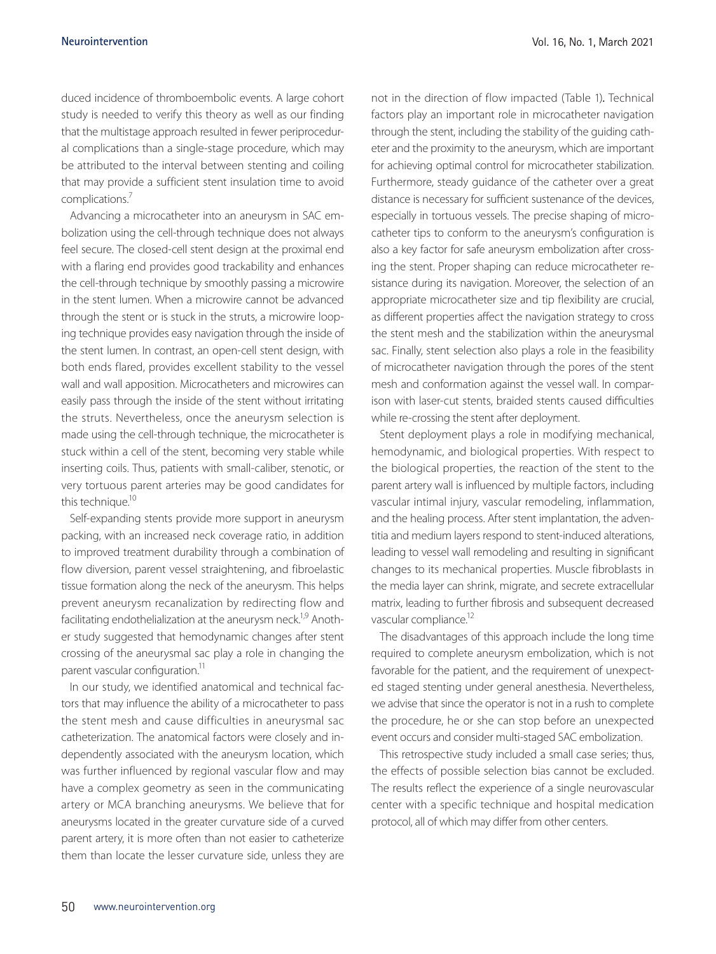duced incidence of thromboembolic events. A large cohort study is needed to verify this theory as well as our finding that the multistage approach resulted in fewer periprocedural complications than a single-stage procedure, which may be attributed to the interval between stenting and coiling that may provide a sufficient stent insulation time to avoid complications.7

Advancing a microcatheter into an aneurysm in SAC embolization using the cell-through technique does not always feel secure. The closed-cell stent design at the proximal end with a flaring end provides good trackability and enhances the cell-through technique by smoothly passing a microwire in the stent lumen. When a microwire cannot be advanced through the stent or is stuck in the struts, a microwire looping technique provides easy navigation through the inside of the stent lumen. In contrast, an open-cell stent design, with both ends flared, provides excellent stability to the vessel wall and wall apposition. Microcatheters and microwires can easily pass through the inside of the stent without irritating the struts. Nevertheless, once the aneurysm selection is made using the cell-through technique, the microcatheter is stuck within a cell of the stent, becoming very stable while inserting coils. Thus, patients with small-caliber, stenotic, or very tortuous parent arteries may be good candidates for this technique.<sup>10</sup>

Self-expanding stents provide more support in aneurysm packing, with an increased neck coverage ratio, in addition to improved treatment durability through a combination of flow diversion, parent vessel straightening, and fibroelastic tissue formation along the neck of the aneurysm. This helps prevent aneurysm recanalization by redirecting flow and facilitating endothelialization at the aneurysm neck.<sup>1,9</sup> Another study suggested that hemodynamic changes after stent crossing of the aneurysmal sac play a role in changing the parent vascular configuration.<sup>11</sup>

In our study, we identified anatomical and technical factors that may influence the ability of a microcatheter to pass the stent mesh and cause difficulties in aneurysmal sac catheterization. The anatomical factors were closely and independently associated with the aneurysm location, which was further influenced by regional vascular flow and may have a complex geometry as seen in the communicating artery or MCA branching aneurysms. We believe that for aneurysms located in the greater curvature side of a curved parent artery, it is more often than not easier to catheterize them than locate the lesser curvature side, unless they are

not in the direction of flow impacted (Table 1)*.* Technical factors play an important role in microcatheter navigation through the stent, including the stability of the guiding catheter and the proximity to the aneurysm, which are important for achieving optimal control for microcatheter stabilization. Furthermore, steady guidance of the catheter over a great distance is necessary for sufficient sustenance of the devices, especially in tortuous vessels. The precise shaping of microcatheter tips to conform to the aneurysm's configuration is also a key factor for safe aneurysm embolization after crossing the stent. Proper shaping can reduce microcatheter resistance during its navigation. Moreover, the selection of an appropriate microcatheter size and tip flexibility are crucial, as different properties affect the navigation strategy to cross the stent mesh and the stabilization within the aneurysmal sac. Finally, stent selection also plays a role in the feasibility of microcatheter navigation through the pores of the stent mesh and conformation against the vessel wall. In comparison with laser-cut stents, braided stents caused difficulties while re-crossing the stent after deployment.

Stent deployment plays a role in modifying mechanical, hemodynamic, and biological properties. With respect to the biological properties, the reaction of the stent to the parent artery wall is influenced by multiple factors, including vascular intimal injury, vascular remodeling, inflammation, and the healing process. After stent implantation, the adventitia and medium layers respond to stent-induced alterations, leading to vessel wall remodeling and resulting in significant changes to its mechanical properties. Muscle fibroblasts in the media layer can shrink, migrate, and secrete extracellular matrix, leading to further fibrosis and subsequent decreased vascular compliance.<sup>12</sup>

The disadvantages of this approach include the long time required to complete aneurysm embolization, which is not favorable for the patient, and the requirement of unexpected staged stenting under general anesthesia. Nevertheless, we advise that since the operator is not in a rush to complete the procedure, he or she can stop before an unexpected event occurs and consider multi-staged SAC embolization.

This retrospective study included a small case series; thus, the effects of possible selection bias cannot be excluded. The results reflect the experience of a single neurovascular center with a specific technique and hospital medication protocol, all of which may differ from other centers.